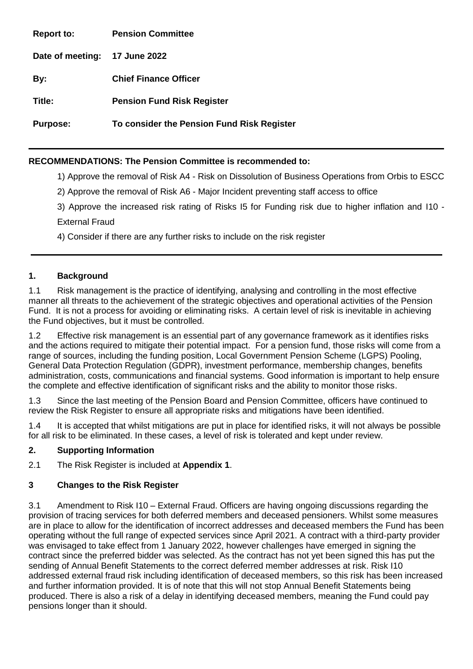**Report to: Pension Committee Date of meeting: 17 June 2022 By: Chief Finance Officer Title: Pension Fund Risk Register Purpose: To consider the Pension Fund Risk Register** 

# **RECOMMENDATIONS: The Pension Committee is recommended to:**

1) Approve the removal of Risk A4 - Risk on Dissolution of Business Operations from Orbis to ESCC

2) Approve the removal of Risk A6 - Major Incident preventing staff access to office

3) Approve the increased risk rating of Risks I5 for Funding risk due to higher inflation and I10 - External Fraud

4) Consider if there are any further risks to include on the risk register

## **1. Background**

1.1 Risk management is the practice of identifying, analysing and controlling in the most effective manner all threats to the achievement of the strategic objectives and operational activities of the Pension Fund. It is not a process for avoiding or eliminating risks. A certain level of risk is inevitable in achieving the Fund objectives, but it must be controlled.

1.2 Effective risk management is an essential part of any governance framework as it identifies risks and the actions required to mitigate their potential impact. For a pension fund, those risks will come from a range of sources, including the funding position, Local Government Pension Scheme (LGPS) Pooling, General Data Protection Regulation (GDPR), investment performance, membership changes, benefits administration, costs, communications and financial systems. Good information is important to help ensure the complete and effective identification of significant risks and the ability to monitor those risks.

1.3 Since the last meeting of the Pension Board and Pension Committee, officers have continued to review the Risk Register to ensure all appropriate risks and mitigations have been identified.

1.4 It is accepted that whilst mitigations are put in place for identified risks, it will not always be possible for all risk to be eliminated. In these cases, a level of risk is tolerated and kept under review.

#### **2. Supporting Information**

2.1 The Risk Register is included at **Appendix 1**.

#### **3 Changes to the Risk Register**

3.1 Amendment to Risk I10 – External Fraud. Officers are having ongoing discussions regarding the provision of tracing services for both deferred members and deceased pensioners. Whilst some measures are in place to allow for the identification of incorrect addresses and deceased members the Fund has been operating without the full range of expected services since April 2021. A contract with a third-party provider was envisaged to take effect from 1 January 2022, however challenges have emerged in signing the contract since the preferred bidder was selected. As the contract has not yet been signed this has put the sending of Annual Benefit Statements to the correct deferred member addresses at risk. Risk I10 addressed external fraud risk including identification of deceased members, so this risk has been increased and further information provided. It is of note that this will not stop Annual Benefit Statements being produced. There is also a risk of a delay in identifying deceased members, meaning the Fund could pay pensions longer than it should.